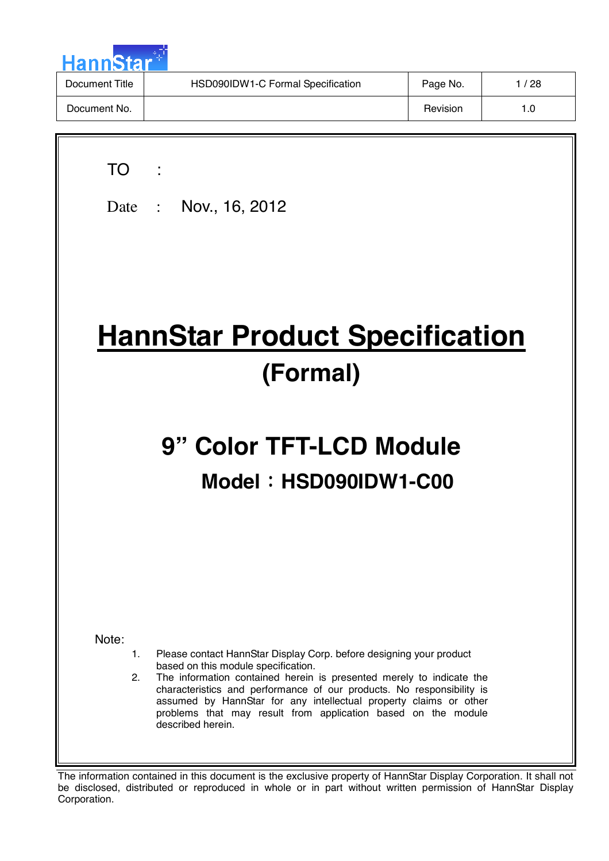

| Document Title | HSD090IDW1-C Formal Specification | Page No. | /28 |
|----------------|-----------------------------------|----------|-----|
| Document No.   |                                   | Revision | 1.0 |

| TO                | Date: Nov., 16, 2012                                                                                                                                                                                                                                                                                                                                                                                                   |
|-------------------|------------------------------------------------------------------------------------------------------------------------------------------------------------------------------------------------------------------------------------------------------------------------------------------------------------------------------------------------------------------------------------------------------------------------|
|                   | <b>HannStar Product Specification</b><br>(Formal)                                                                                                                                                                                                                                                                                                                                                                      |
|                   | 9" Color TFT-LCD Module<br>Model: HSD090IDW1-C00                                                                                                                                                                                                                                                                                                                                                                       |
| Note:<br>1.<br>2. | Please contact HannStar Display Corp. before designing your product<br>based on this module specification.<br>The information contained herein is presented merely to indicate the<br>characteristics and performance of our products. No responsibility is<br>assumed by HannStar for any intellectual property claims or other<br>problems that may result from application based on the module<br>described herein. |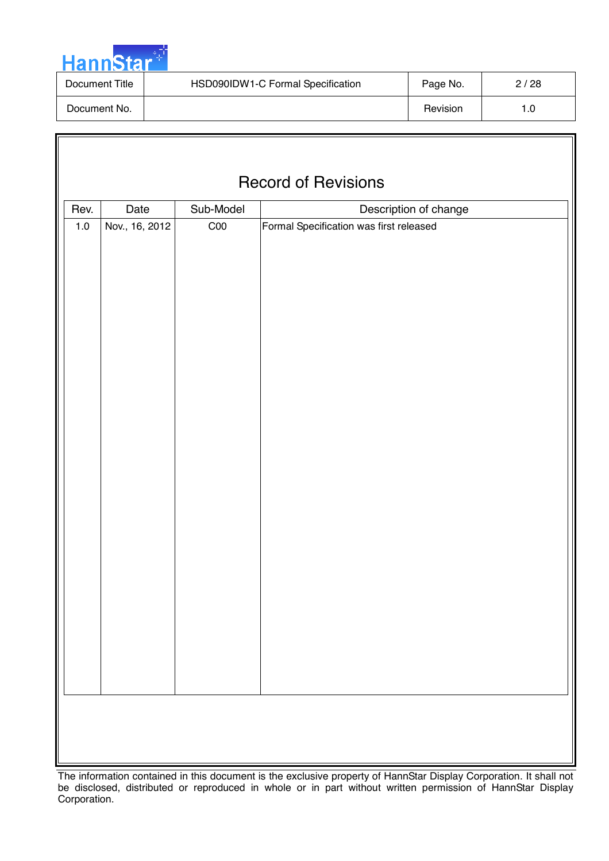

| Document Title | HSD090IDW1-C Formal Specification | Page No. | 2/28 |
|----------------|-----------------------------------|----------|------|
| Document No.   |                                   | Revision | 1.0  |

| <b>Record of Revisions</b>                         |                |                 |                                         |  |  |  |  |  |
|----------------------------------------------------|----------------|-----------------|-----------------------------------------|--|--|--|--|--|
| Date<br>Sub-Model<br>Rev.<br>Description of change |                |                 |                                         |  |  |  |  |  |
| $1.0\,$                                            | Nov., 16, 2012 | C <sub>00</sub> | Formal Specification was first released |  |  |  |  |  |
|                                                    |                |                 |                                         |  |  |  |  |  |
|                                                    |                |                 |                                         |  |  |  |  |  |
|                                                    |                |                 |                                         |  |  |  |  |  |
|                                                    |                |                 |                                         |  |  |  |  |  |
|                                                    |                |                 |                                         |  |  |  |  |  |
|                                                    |                |                 |                                         |  |  |  |  |  |
|                                                    |                |                 |                                         |  |  |  |  |  |
|                                                    |                |                 |                                         |  |  |  |  |  |
|                                                    |                |                 |                                         |  |  |  |  |  |
|                                                    |                |                 |                                         |  |  |  |  |  |
|                                                    |                |                 |                                         |  |  |  |  |  |
|                                                    |                |                 |                                         |  |  |  |  |  |
|                                                    |                |                 |                                         |  |  |  |  |  |
|                                                    |                |                 |                                         |  |  |  |  |  |
|                                                    |                |                 |                                         |  |  |  |  |  |
|                                                    |                |                 |                                         |  |  |  |  |  |
|                                                    |                |                 |                                         |  |  |  |  |  |
|                                                    |                |                 |                                         |  |  |  |  |  |
|                                                    |                |                 |                                         |  |  |  |  |  |
|                                                    |                |                 |                                         |  |  |  |  |  |
|                                                    |                |                 |                                         |  |  |  |  |  |
|                                                    |                |                 |                                         |  |  |  |  |  |
|                                                    |                |                 |                                         |  |  |  |  |  |
|                                                    |                |                 |                                         |  |  |  |  |  |
|                                                    |                |                 |                                         |  |  |  |  |  |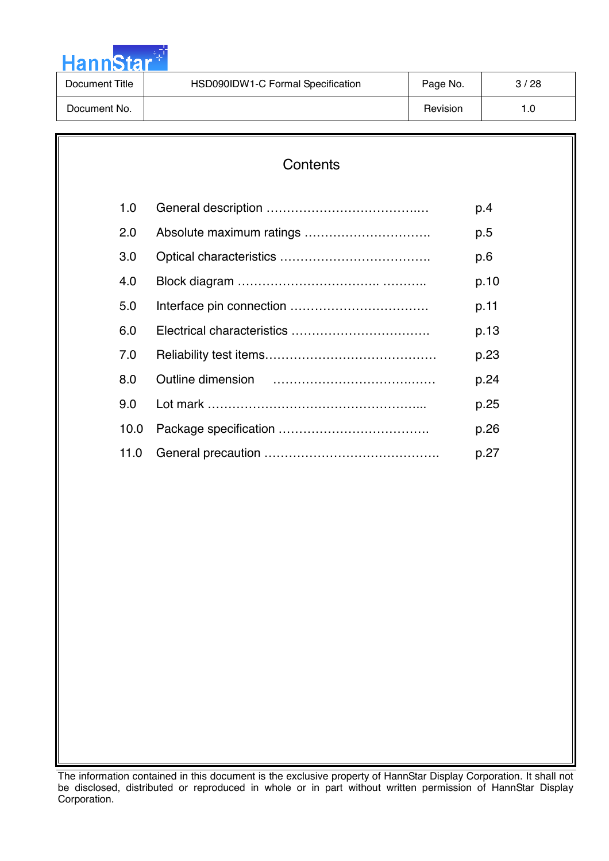

| Document Title | HSD090IDW1-C Formal Specification | Page No. | 3/28 |
|----------------|-----------------------------------|----------|------|
| Document No.   |                                   | Revision | 1.0  |

| Contents |  |      |  |  |  |  |  |
|----------|--|------|--|--|--|--|--|
| 1.0      |  | p.4  |  |  |  |  |  |
| 2.0      |  | p.5  |  |  |  |  |  |
| 3.0      |  | p.6  |  |  |  |  |  |
| 4.0      |  | p.10 |  |  |  |  |  |
| 5.0      |  | p.11 |  |  |  |  |  |
| 6.0      |  | p.13 |  |  |  |  |  |
| 7.0      |  | p.23 |  |  |  |  |  |
| 8.0      |  | p.24 |  |  |  |  |  |
| 9.0      |  | p.25 |  |  |  |  |  |
| 10.0     |  | p.26 |  |  |  |  |  |
| 11.0     |  | p.27 |  |  |  |  |  |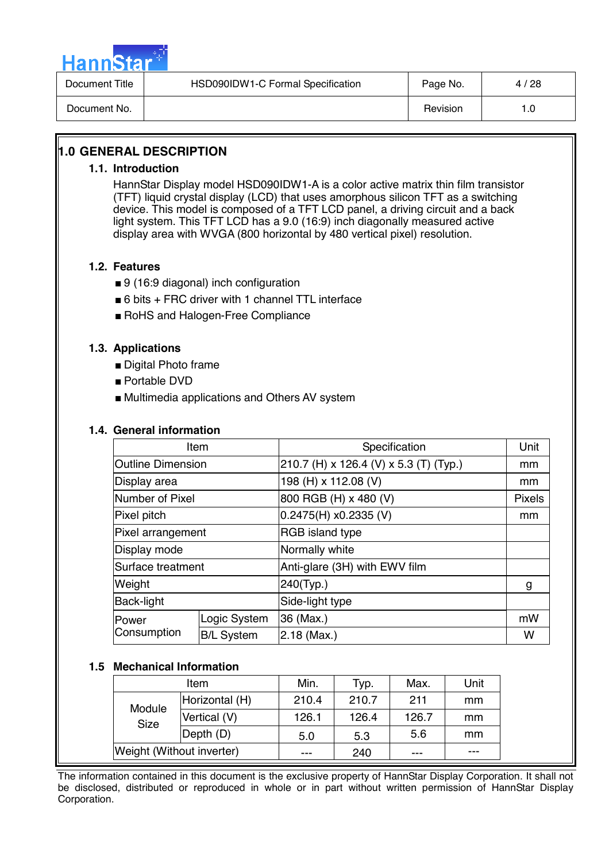

| Document Title | HSD090IDW1-C Formal Specification | Page No. | 4/28 |
|----------------|-----------------------------------|----------|------|
| Document No.   |                                   | Revision | l .O |

# **1.0 GENERAL DESCRIPTION**

#### **1.1. Introduction**

HannStar Display model HSD090IDW1-A is a color active matrix thin film transistor (TFT) liquid crystal display (LCD) that uses amorphous silicon TFT as a switching device. This model is composed of a TFT LCD panel, a driving circuit and a back light system. This TFT LCD has a 9.0 (16:9) inch diagonally measured active display area with WVGA (800 horizontal by 480 vertical pixel) resolution.

#### **1.2. Features**

- 9 (16:9 diagonal) inch configuration
- 6 bits + FRC driver with 1 channel TTL interface
- RoHS and Halogen-Free Compliance

#### **1.3. Applications**

- Digital Photo frame
- Portable DVD
- Multimedia applications and Others AV system

#### **1.4. General information**

| Item                     |                   | Specification                          | Unit          |
|--------------------------|-------------------|----------------------------------------|---------------|
| <b>Outline Dimension</b> |                   | 210.7 (H) x 126.4 (V) x 5.3 (T) (Typ.) | mm            |
| Display area             |                   | 198 (H) x 112.08 (V)                   | mm            |
| Number of Pixel          |                   | 800 RGB (H) x 480 (V)                  | <b>Pixels</b> |
| Pixel pitch              |                   | $0.2475(H)$ x0.2335 (V)                | mm            |
| Pixel arrangement        |                   | <b>RGB</b> island type                 |               |
| Display mode             |                   | Normally white                         |               |
| Surface treatment        |                   | Anti-glare (3H) with EWV film          |               |
| Weight                   |                   | 240(Typ.)                              | g             |
| Back-light               |                   | Side-light type                        |               |
| Power                    | Logic System      | 36 (Max.)                              | mW            |
| Consumption              | <b>B/L System</b> | $2.18$ (Max.)                          | w             |

#### **1.5 Mechanical Information**

|  | ltem                      |                | Min.    | Typ.  | Max.  | Unit |
|--|---------------------------|----------------|---------|-------|-------|------|
|  | Module<br>Size            | Horizontal (H) | 210.4   | 210.7 | 211   | mm   |
|  |                           | Vertical (V)   | 126.1   | 126.4 | 126.7 | mm   |
|  |                           | Depth (D)      | 5.0     | 5.3   | 5.6   | mm   |
|  | Weight (Without inverter) |                | $- - -$ | 240   | ---   | ---  |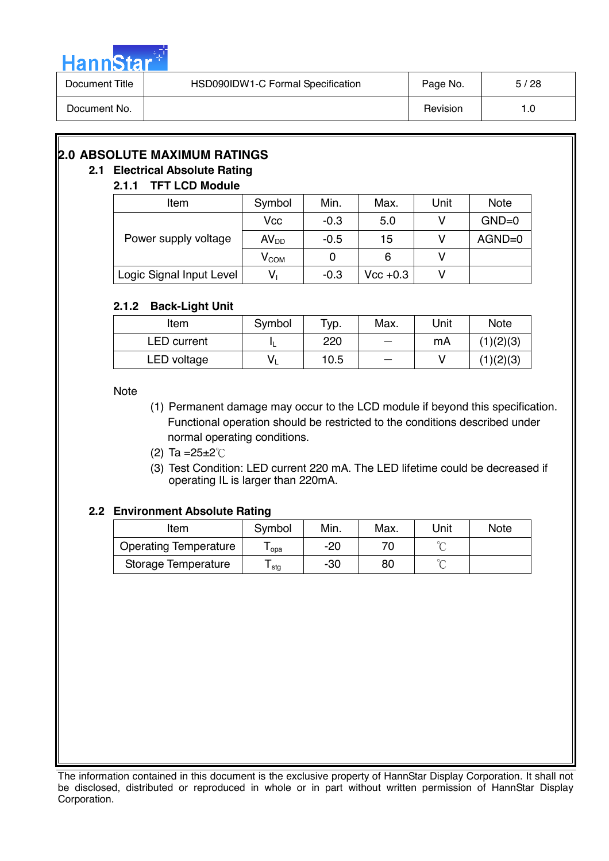

| Document Title | HSD090IDW1-C Formal Specification | Page No. | 5/28 |
|----------------|-----------------------------------|----------|------|
| Document No.   |                                   | Revision | 1.0  |

# **2.0 ABSOLUTE MAXIMUM RATINGS**

# **2.1 Electrical Absolute Rating**

# **2.1.1 TFT LCD Module**

| Item                     | Symbol                      | Min.   | Max.        | Unit | <b>Note</b> |
|--------------------------|-----------------------------|--------|-------------|------|-------------|
|                          | Vcc                         | $-0.3$ | 5.0         |      | $GND=0$     |
| Power supply voltage     | AV <sub>DD</sub>            | $-0.5$ | 15          |      | $AGND=0$    |
|                          | $\mathsf{V}_{\mathsf{COM}}$ |        | 6           |      |             |
| Logic Signal Input Level | ٧                           | $-0.3$ | $Vec + 0.3$ |      |             |

# **2.1.2 Back-Light Unit**

| Item               | Symbol | Typ. | Max. | Unit | <b>Note</b> |
|--------------------|--------|------|------|------|-------------|
| <b>LED</b> current |        | 220  |      | mA   | (1)(2)(3)   |
| LED voltage        |        | 10.5 |      |      | (1)(2)(3)   |

Note

(1) Permanent damage may occur to the LCD module if beyond this specification. Functional operation should be restricted to the conditions described under normal operating conditions.

(2) Ta =  $25 \pm 2^{\circ}$ C

(3) Test Condition: LED current 220 mA. The LED lifetime could be decreased if operating IL is larger than 220mA.

# **2.2 Environment Absolute Rating**

| ltem                         | Symbol | Min. | Max. | Unit   | <b>Note</b> |
|------------------------------|--------|------|------|--------|-------------|
| <b>Operating Temperature</b> | opa    | -20  |      | $\sim$ |             |
| Storage Temperature          | stg    | -30  | 80   | $\sim$ |             |

The information contained in this document is the exclusive property of HannStar Display Corporation. It shall not be disclosed, distributed or reproduced in whole or in part without written permission of HannStar Display Corporation.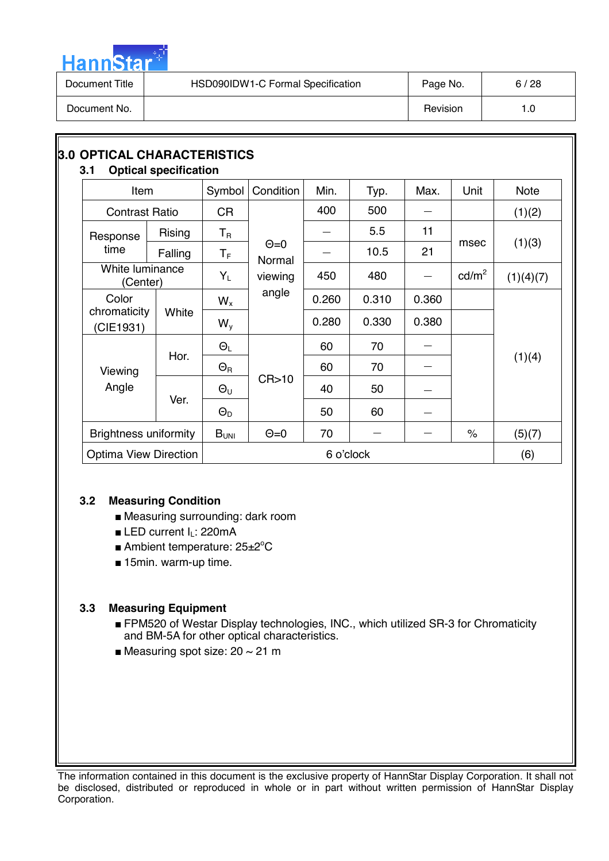

| Document Title | HSD090IDW1-C Formal Specification | Page No. | 6/28 |
|----------------|-----------------------------------|----------|------|
| Document No.   |                                   | Revision | 1.0  |

| <b>3.0 OPTICAL CHARACTERISTICS</b><br>3.1 | <b>Optical specification</b> |                     |                       |           |       |       |                 |             |
|-------------------------------------------|------------------------------|---------------------|-----------------------|-----------|-------|-------|-----------------|-------------|
| <b>Item</b>                               |                              | Symbol              | Condition             | Min.      | Typ.  | Max.  | Unit            | <b>Note</b> |
| <b>Contrast Ratio</b>                     |                              | <b>CR</b>           |                       | 400       | 500   |       |                 | (1)(2)      |
| Response                                  | Rising                       | $T_R$               |                       |           | 5.5   | 11    |                 |             |
| time                                      | Falling                      | $T_F$               | $\Theta$ =0<br>Normal |           | 10.5  | 21    | msec            | (1)(3)      |
| White luminance<br>(Center)               |                              | $Y_L$               | viewing               | 450       | 480   |       | $\text{cd/m}^2$ | (1)(4)(7)   |
| Color                                     |                              | $W_{x}$             | angle                 | 0.260     | 0.310 | 0.360 |                 |             |
| chromaticity<br>(CIE1931)                 | White                        | $W_{V}$             |                       | 0.280     | 0.330 | 0.380 |                 |             |
|                                           |                              | $\Theta_L$          |                       | 60        | 70    |       |                 |             |
| Viewing                                   | Hor.                         | $\Theta_{\text{R}}$ |                       | 60        | 70    |       |                 | (1)(4)      |
| Angle                                     |                              | $\Theta_{\sf U}$    | CR > 10               | 40        | 50    |       |                 |             |
|                                           | Ver.                         | $\Theta_{D}$        |                       | 50        | 60    |       |                 |             |
| <b>Brightness uniformity</b>              |                              | $B_{UNI}$           | $\Theta = 0$          | 70        |       |       | $\%$            | (5)(7)      |
| <b>Optima View Direction</b>              |                              |                     |                       | 6 o'clock |       |       |                 | (6)         |

# **3.2 Measuring Condition**

- Measuring surrounding: dark room
- LED current I<sub>L</sub>: 220mA
- Ambient temperature: 25±2°C
- 15min. warm-up time.

# **3.3 Measuring Equipment**

- FPM520 of Westar Display technologies, INC., which utilized SR-3 for Chromaticity and BM-5A for other optical characteristics.
- Measuring spot size:  $20 \sim 21$  m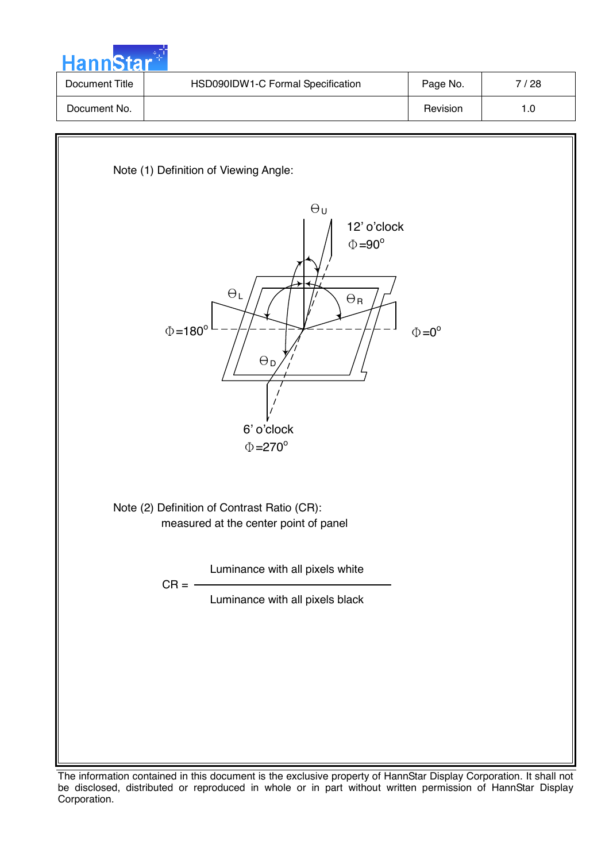

| Document Title | HSD090IDW1-C Formal Specification | Page No. | / 28 |
|----------------|-----------------------------------|----------|------|
| Document No.   |                                   | Revision | 1.0  |



The information contained in this document is the exclusive property of HannStar Display Corporation. It shall not be disclosed, distributed or reproduced in whole or in part without written permission of HannStar Display Corporation.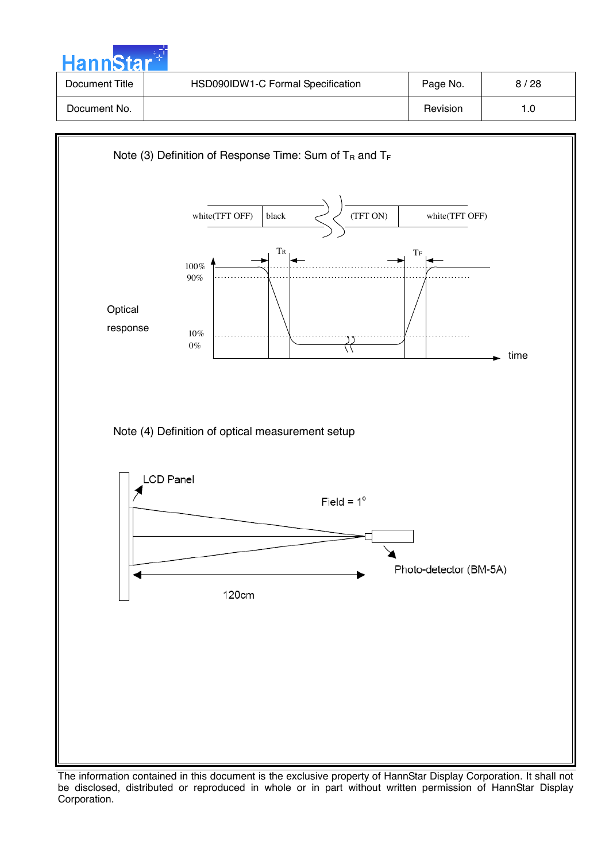| HannStar <sup>++</sup> |                                   |          |      |
|------------------------|-----------------------------------|----------|------|
| Document Title         | HSD090IDW1-C Formal Specification | Page No. | 8/28 |
| Document No.           |                                   | Revision | 1.0  |



The information contained in this document is the exclusive property of HannStar Display Corporation. It shall not be disclosed, distributed or reproduced in whole or in part without written permission of HannStar Display Corporation.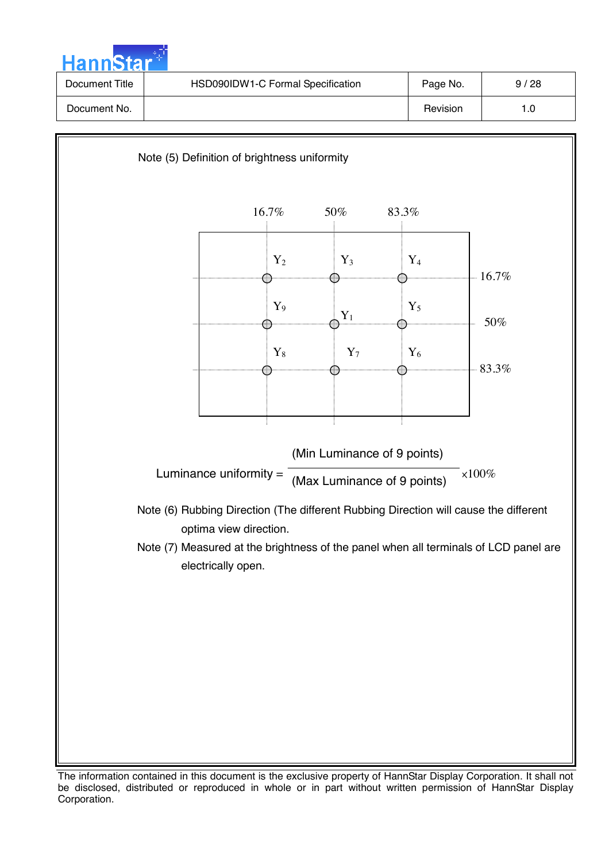

The information contained in this document is the exclusive property of HannStar Display Corporation. It shall not be disclosed, distributed or reproduced in whole or in part without written permission of HannStar Display Corporation.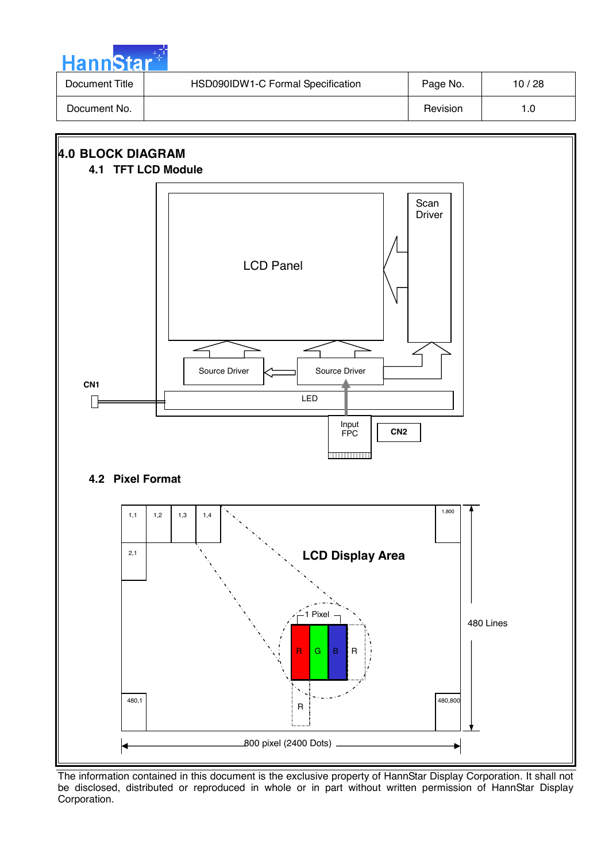| HannStar <sup>*</sup> |                                   |          |       |
|-----------------------|-----------------------------------|----------|-------|
| Document Title        | HSD090IDW1-C Formal Specification | Page No. | 10/28 |
| Document No.          |                                   | Revision | 1.0   |

سارت ا

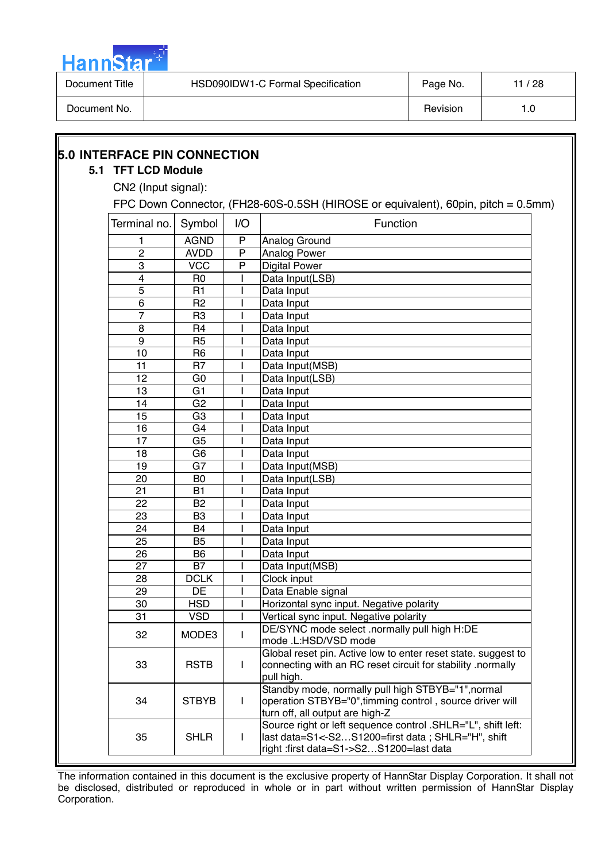

| Document Title | HSD090IDW1-C Formal Specification | Page No. | / 28 |
|----------------|-----------------------------------|----------|------|
| Document No.   |                                   | Revision | . .0 |

| CN2 (Input signal): |                |              |                                                                                        |
|---------------------|----------------|--------------|----------------------------------------------------------------------------------------|
|                     |                |              | FPC Down Connector, (FH28-60S-0.5SH (HIROSE or equivalent), 60pin, pitch = 0.5mm)      |
| Terminal no.        | Symbol         | I/O          | Function                                                                               |
|                     | <b>AGND</b>    | ${\sf P}$    | Analog Ground                                                                          |
| $\overline{c}$      | <b>AVDD</b>    | P            | Analog Power                                                                           |
| $\overline{3}$      | <b>VCC</b>     | P            | <b>Digital Power</b>                                                                   |
| 4                   | R <sub>0</sub> |              | Data Input(LSB)                                                                        |
| 5                   | R1             |              | Data Input                                                                             |
| $\,6$               | R <sub>2</sub> |              | Data Input                                                                             |
| 7                   | R <sub>3</sub> |              | Data Input                                                                             |
| 8                   | R <sub>4</sub> |              | Data Input                                                                             |
| 9                   | R <sub>5</sub> |              | Data Input                                                                             |
| 10                  | R <sub>6</sub> |              | Data Input                                                                             |
| 11                  | R <sub>7</sub> |              | Data Input(MSB)                                                                        |
| 12                  | G <sub>0</sub> |              | Data Input(LSB)                                                                        |
| 13                  | G <sub>1</sub> |              | Data Input                                                                             |
| 14                  | G <sub>2</sub> |              | Data Input                                                                             |
| 15                  | G <sub>3</sub> |              | Data Input                                                                             |
| 16                  | G4             |              | Data Input                                                                             |
| 17                  | G <sub>5</sub> |              | Data Input                                                                             |
| 18                  | G <sub>6</sub> |              | Data Input                                                                             |
| 19                  | G7             |              | Data Input(MSB)                                                                        |
| 20                  | B <sub>0</sub> |              | Data Input(LSB)                                                                        |
| 21                  | <b>B1</b>      |              | Data Input                                                                             |
| 22                  | B <sub>2</sub> |              | Data Input                                                                             |
| 23                  | B <sub>3</sub> |              | Data Input                                                                             |
| 24                  | <b>B4</b>      |              | Data Input                                                                             |
| 25                  | B <sub>5</sub> |              | Data Input                                                                             |
| 26                  | B <sub>6</sub> |              | Data Input                                                                             |
| 27                  | <b>B7</b>      |              | Data Input(MSB)                                                                        |
| 28                  | <b>DCLK</b>    |              | Clock input                                                                            |
| 29                  | DE             |              | Data Enable signal                                                                     |
| 30                  | <b>HSD</b>     |              | Horizontal sync input. Negative polarity                                               |
| 31                  | <b>VSD</b>     |              | Vertical sync input. Negative polarity<br>DE/SYNC mode select .normally pull high H:DE |
| 32                  | MODE3          | L            | mode .L:HSD/VSD mode                                                                   |
|                     |                |              | Global reset pin. Active low to enter reset state. suggest to                          |
| 33                  | <b>RSTB</b>    | $\mathbf{I}$ | connecting with an RC reset circuit for stability .normally                            |
|                     |                |              | pull high.                                                                             |
|                     |                |              | Standby mode, normally pull high STBYB="1", normal                                     |
| 34                  | <b>STBYB</b>   | $\mathbf{I}$ | operation STBYB="0", timming control, source driver will                               |
|                     |                |              | turn off, all output are high-Z                                                        |
|                     |                |              | Source right or left sequence control .SHLR="L", shift left:                           |
| 35                  | <b>SHLR</b>    | $\mathbf{I}$ | last data=S1<-S2S1200=first data; SHLR="H", shift                                      |
|                     |                |              | right :first data=S1->S2S1200=last data                                                |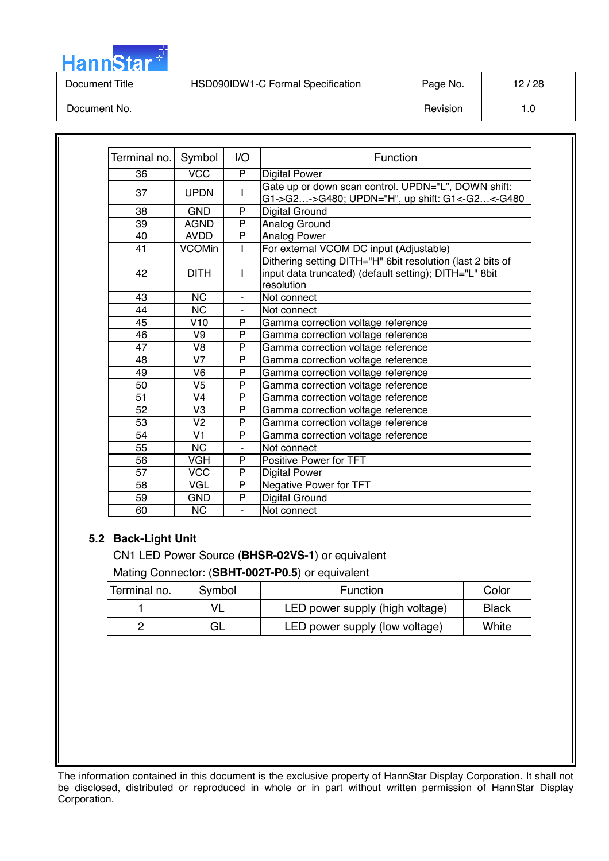| <b>HannStar</b> |                                   |          |       |
|-----------------|-----------------------------------|----------|-------|
| Document Title  | HSD090IDW1-C Formal Specification | Page No. | 12/28 |
| Document No.    |                                   | Revision | 1.0   |

| Terminal no. | Symbol         | 1/O            | Function                                                                                                                           |
|--------------|----------------|----------------|------------------------------------------------------------------------------------------------------------------------------------|
| 36           | <b>VCC</b>     | P              | <b>Digital Power</b>                                                                                                               |
| 37           | <b>UPDN</b>    | $\mathbf{I}$   | Gate up or down scan control. UPDN="L", DOWN shift:<br>G1->G2->G480; UPDN="H", up shift: G1<-G2<-G480                              |
| 38           | <b>GND</b>     | P              | Digital Ground                                                                                                                     |
| 39           | <b>AGND</b>    | P              | Analog Ground                                                                                                                      |
| 40           | <b>AVDD</b>    | P              | Analog Power                                                                                                                       |
| 41           | <b>VCOMin</b>  |                | For external VCOM DC input (Adjustable)                                                                                            |
| 42           | <b>DITH</b>    | $\mathbf{I}$   | Dithering setting DITH="H" 6bit resolution (last 2 bits of<br>input data truncated) (default setting); DITH="L" 8bit<br>resolution |
| 43           | <b>NC</b>      |                | Not connect                                                                                                                        |
| 44           | <b>NC</b>      | ۰              | Not connect                                                                                                                        |
| 45           | V10            | P              | Gamma correction voltage reference                                                                                                 |
| 46           | V9             | P              | Gamma correction voltage reference                                                                                                 |
| 47           | V8             | P              | Gamma correction voltage reference                                                                                                 |
| 48           | V <sub>7</sub> | P              | Gamma correction voltage reference                                                                                                 |
| 49           | V <sub>6</sub> | P              | Gamma correction voltage reference                                                                                                 |
| 50           | V <sub>5</sub> | P              | Gamma correction voltage reference                                                                                                 |
| 51           | V <sub>4</sub> | P              | Gamma correction voltage reference                                                                                                 |
| 52           | V <sub>3</sub> | P              | Gamma correction voltage reference                                                                                                 |
| 53           | V <sub>2</sub> | $\mathsf{P}$   | Gamma correction voltage reference                                                                                                 |
| 54           | V <sub>1</sub> | P              | Gamma correction voltage reference                                                                                                 |
| 55           | <b>NC</b>      |                | Not connect                                                                                                                        |
| 56           | <b>VGH</b>     | P              | Positive Power for TFT                                                                                                             |
| 57           | <b>VCC</b>     | P              | <b>Digital Power</b>                                                                                                               |
| 58           | <b>VGL</b>     | P              | Negative Power for TFT                                                                                                             |
| 59           | <b>GND</b>     | P              | Digital Ground                                                                                                                     |
| 60           | <b>NC</b>      | $\blacksquare$ | Not connect                                                                                                                        |

#### **5.2 Back-Light Unit**

an an Air

CN1 LED Power Source (**BHSR-02VS-1**) or equivalent

Mating Connector: (**SBHT-002T-P0.5**) or equivalent

| Terminal no. | Symbol | <b>Function</b>                 | Color        |
|--------------|--------|---------------------------------|--------------|
|              |        | LED power supply (high voltage) | <b>Black</b> |
|              | GL     | LED power supply (low voltage)  | White        |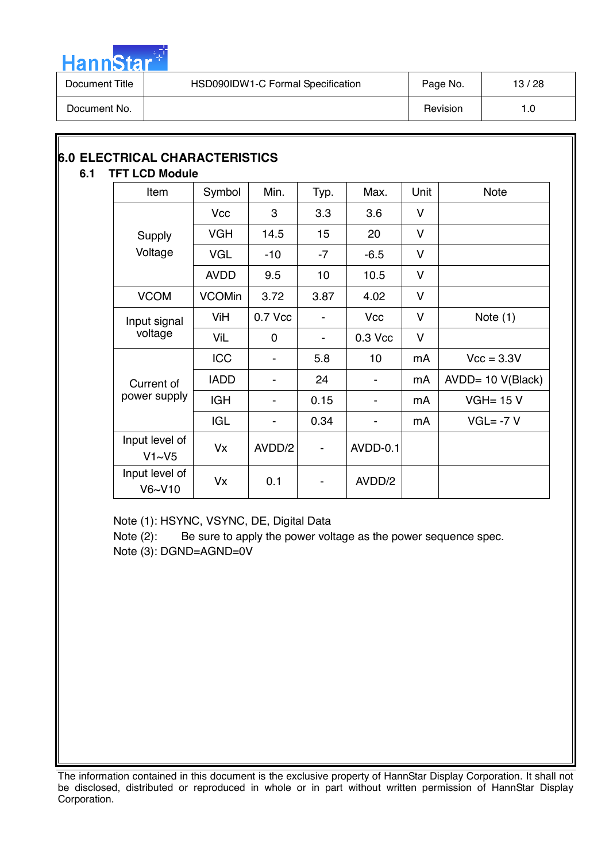

| Document Title | HSD090IDW1-C Formal Specification | Page No. | 13/28 |
|----------------|-----------------------------------|----------|-------|
| Document No.   |                                   | Revision | l .O  |

# **6.0 ELECTRICAL CHARACTERISTICS**

# **6.1 TFT LCD Module**

| Item                     | Symbol        | Min.     | Typ. | Max.       | Unit   | <b>Note</b>          |
|--------------------------|---------------|----------|------|------------|--------|----------------------|
|                          | <b>Vcc</b>    | 3        | 3.3  | 3.6        | V      |                      |
| Supply                   | <b>VGH</b>    | 14.5     | 15   | 20         | V      |                      |
| Voltage                  | <b>VGL</b>    | $-10$    | $-7$ | $-6.5$     | v      |                      |
|                          | <b>AVDD</b>   | 9.5      | 10   | 10.5       | V      |                      |
| <b>VCOM</b>              | <b>VCOMin</b> | 3.72     | 3.87 | 4.02       | V      |                      |
| Input signal             | ViH           | 0.7 Vcc  |      | <b>Vcc</b> | $\vee$ | Note $(1)$           |
| voltage                  | ViL           | $\Omega$ |      | 0.3 Vcc    | v      |                      |
|                          | <b>ICC</b>    |          | 5.8  | 10         | mA     | $Vcc = 3.3V$         |
| Current of               | <b>IADD</b>   |          | 24   |            | mA     | $AVDD = 10 V(Black)$ |
| power supply             | <b>IGH</b>    |          | 0.15 |            | mA     | $VGH = 15 V$         |
|                          | <b>IGL</b>    |          | 0.34 |            | mA     | $VGL = -7 V$         |
| Input level of<br>V1~V5  | <b>Vx</b>     | AVDD/2   |      | AVDD-0.1   |        |                      |
| Input level of<br>V6~V10 | Vx            | 0.1      |      | AVDD/2     |        |                      |

Note (1): HSYNC, VSYNC, DE, Digital Data

Note (2): Be sure to apply the power voltage as the power sequence spec. Note (3): DGND=AGND=0V

The information contained in this document is the exclusive property of HannStar Display Corporation. It shall not be disclosed, distributed or reproduced in whole or in part without written permission of HannStar Display Corporation.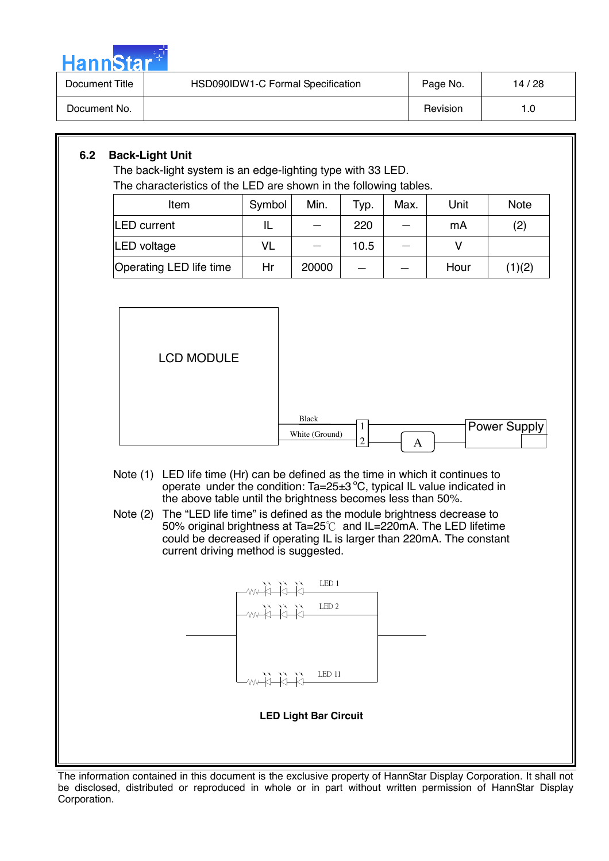

| Document Title | HSD090IDW1-C Formal Specification | Page No. | 14/28 |
|----------------|-----------------------------------|----------|-------|
| Document No.   |                                   | Revision | I .O  |

# **6.2 Back-Light Unit**

The back-light system is an edge-lighting type with 33 LED. The characteristics of the LED are shown in the following tables.

| Item                    | Symbol    | Min.  | Typ. | Max. | Unit | <b>Note</b> |
|-------------------------|-----------|-------|------|------|------|-------------|
| <b>LED</b> current      | IL        |       | 220  |      | mA   | (2)         |
| <b>LED</b> voltage      | <b>VL</b> |       | 10.5 |      |      |             |
| Operating LED life time | Hr        | 20000 |      |      | Hour | (1)(2)      |



LED 11 **LED Light Bar Circuit** 

The information contained in this document is the exclusive property of HannStar Display Corporation. It shall not be disclosed, distributed or reproduced in whole or in part without written permission of HannStar Display Corporation.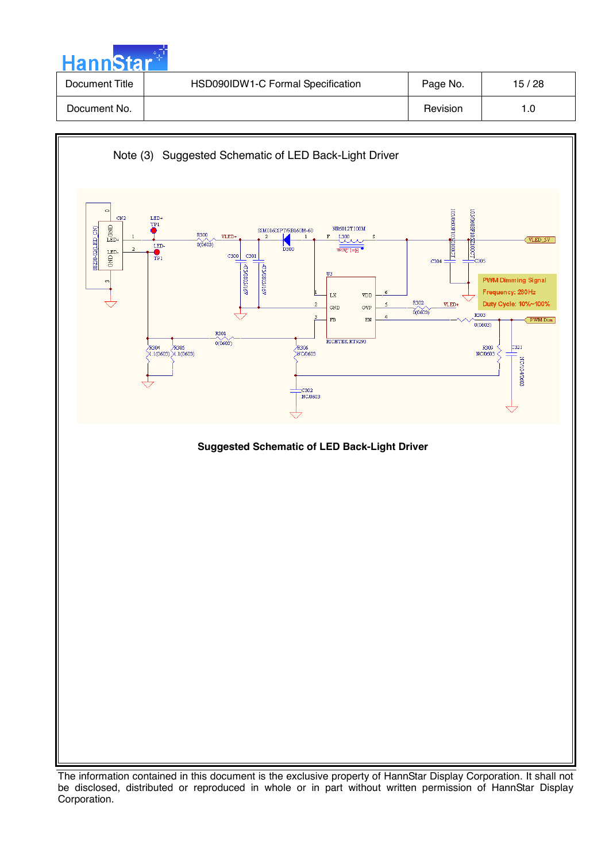| <b>HannStar</b> |                                   |          |       |
|-----------------|-----------------------------------|----------|-------|
| Document Title  | HSD090IDW1-C Formal Specification | Page No. | 15/28 |
| Document No.    |                                   | Revision | 1.0   |

والمراد



The information contained in this document is the exclusive property of HannStar Display Corporation. It shall not be disclosed, distributed or reproduced in whole or in part without written permission of HannStar Display Corporation.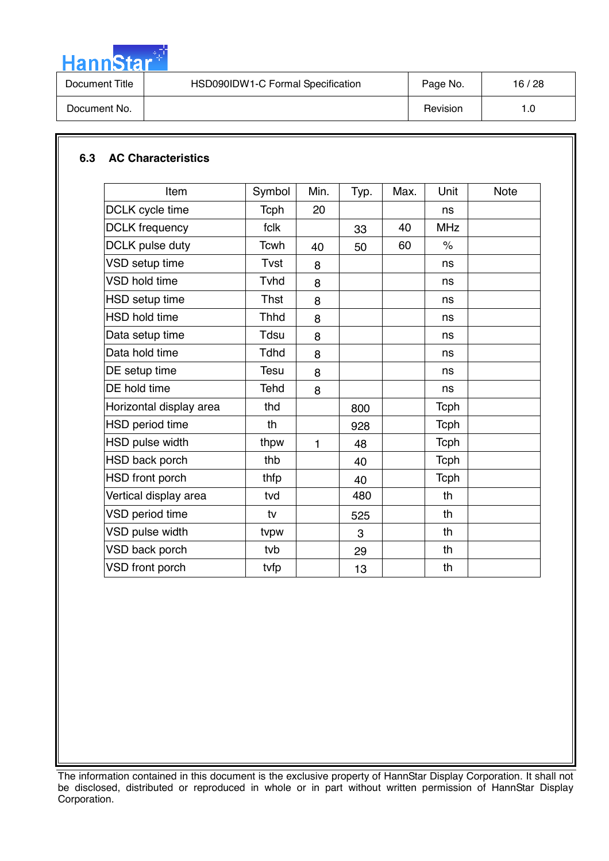

| Revision<br>Document No.<br>I.O | Document Title | HSD090IDW1-C Formal Specification | Page No. | 16/28 |
|---------------------------------|----------------|-----------------------------------|----------|-------|
|                                 |                |                                   |          |       |

# **6.3 AC Characteristics**

| DCLK cycle time         | <b>Tcph</b><br>fclk | 20 |     |    |                      |  |
|-------------------------|---------------------|----|-----|----|----------------------|--|
|                         |                     |    |     |    | ns                   |  |
| <b>DCLK</b> frequency   |                     |    | 33  | 40 | <b>MHz</b>           |  |
| DCLK pulse duty         | <b>Tcwh</b>         | 40 | 50  | 60 | $\frac{1}{\sqrt{2}}$ |  |
| VSD setup time          | Tvst                | 8  |     |    | ns                   |  |
| <b>VSD hold time</b>    | Tyhd                | 8  |     |    | ns                   |  |
| HSD setup time          | <b>Thst</b>         | 8  |     |    | ns                   |  |
| <b>HSD hold time</b>    | <b>Thhd</b>         | 8  |     |    | ns                   |  |
| Data setup time         | Tdsu                | 8  |     |    | ns                   |  |
| Data hold time          | <b>Tdhd</b>         | 8  |     |    | ns                   |  |
| DE setup time           | <b>Tesu</b>         | 8  |     |    | ns                   |  |
| DE hold time            | <b>Tehd</b>         | 8  |     |    | ns                   |  |
| Horizontal display area | thd                 |    | 800 |    | <b>Tcph</b>          |  |
| HSD period time         | th                  |    | 928 |    | <b>Tcph</b>          |  |
| HSD pulse width         | thpw                | 1  | 48  |    | <b>Tcph</b>          |  |
| HSD back porch          | thb                 |    | 40  |    | <b>Tcph</b>          |  |
| HSD front porch         | thfp                |    | 40  |    | <b>Tcph</b>          |  |
| Vertical display area   | tvd                 |    | 480 |    | th                   |  |
| VSD period time         | tv                  |    | 525 |    | th                   |  |
| VSD pulse width         | tvpw                |    | 3   |    | th                   |  |
| VSD back porch          | tvb                 |    | 29  |    | th                   |  |
| VSD front porch         | tvfp                |    | 13  |    | th                   |  |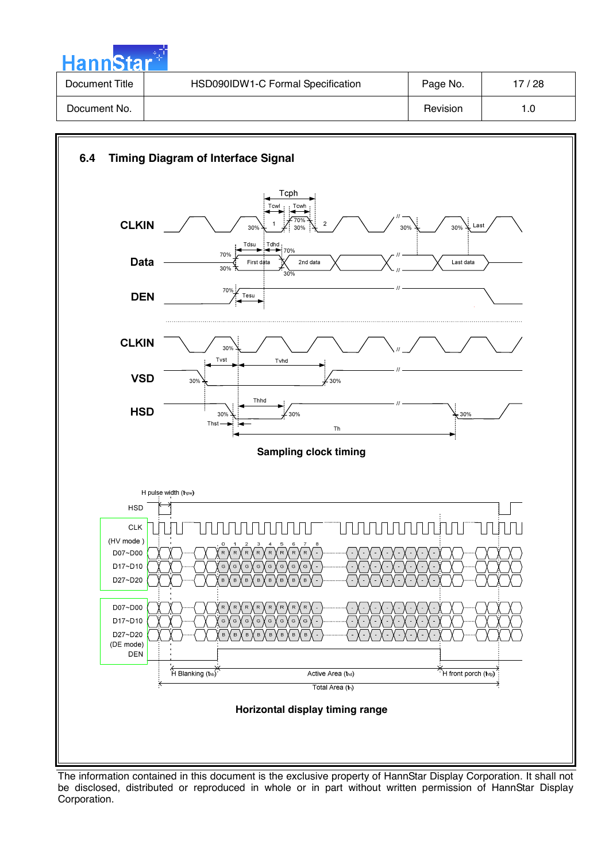

| Document Title | HSD090IDW1-C Formal Specification | Page No. | 17 / 28 |
|----------------|-----------------------------------|----------|---------|
| Document No.   |                                   | Revision |         |



The information contained in this document is the exclusive property of HannStar Display Corporation. It shall not be disclosed, distributed or reproduced in whole or in part without written permission of HannStar Display Corporation.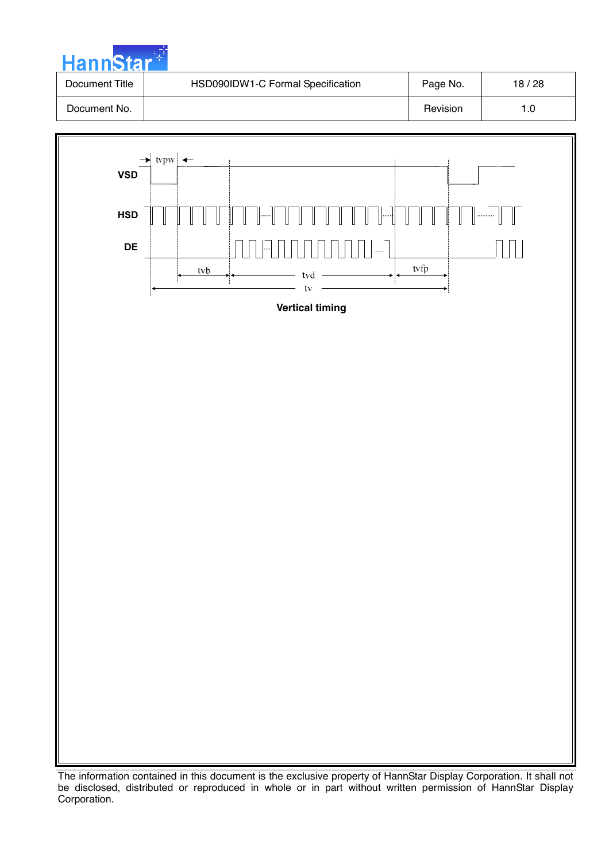



The information contained in this document is the exclusive property of HannStar Display Corporation. It shall not be disclosed, distributed or reproduced in whole or in part without written permission of HannStar Display Corporation.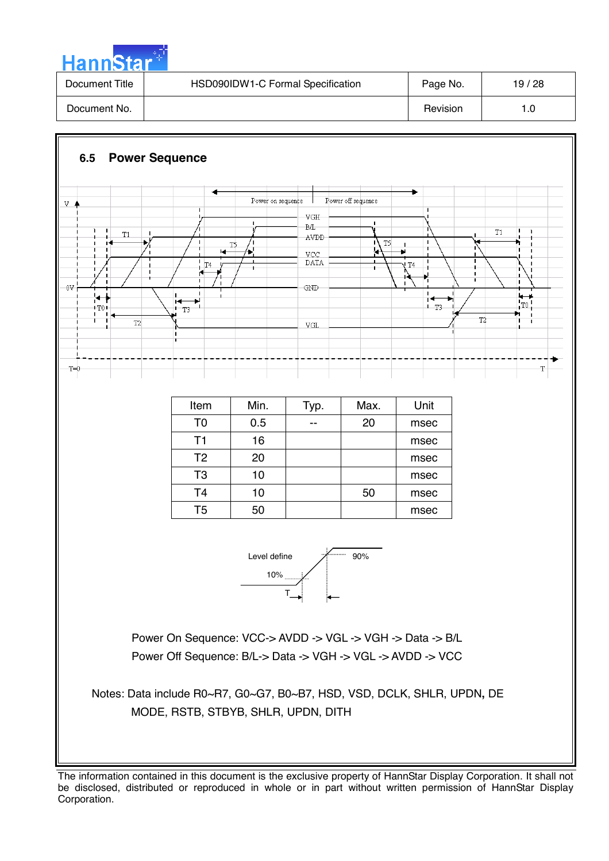

| Document Title | HSD090IDW1-C Formal Specification | Page No. | 19/28 |
|----------------|-----------------------------------|----------|-------|
| Document No.   |                                   | Revision | l .O  |

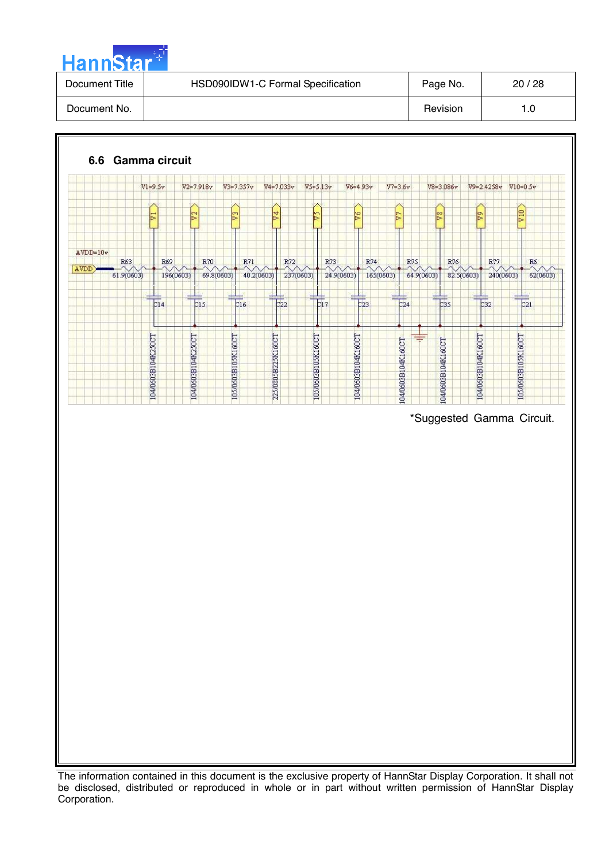

| Document Title | HSD090IDW1-C Formal Specification | Page No. | 20/28 |
|----------------|-----------------------------------|----------|-------|
| Document No.   |                                   | Revision |       |



The information contained in this document is the exclusive property of HannStar Display Corporation. It shall not be disclosed, distributed or reproduced in whole or in part without written permission of HannStar Display Corporation.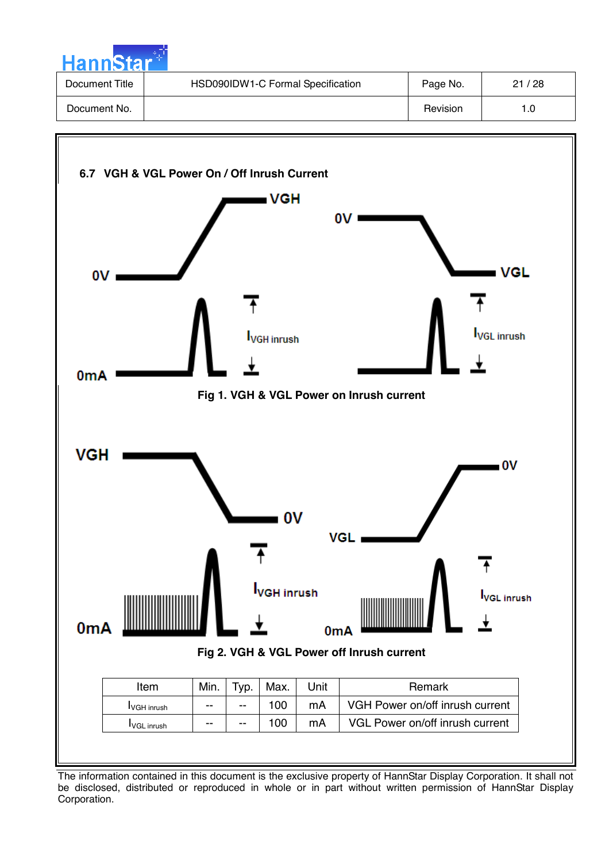

| Document Title | HSD090IDW1-C Formal Specification | Page No. | 21/28 |
|----------------|-----------------------------------|----------|-------|
| Document No.   |                                   | Revision |       |

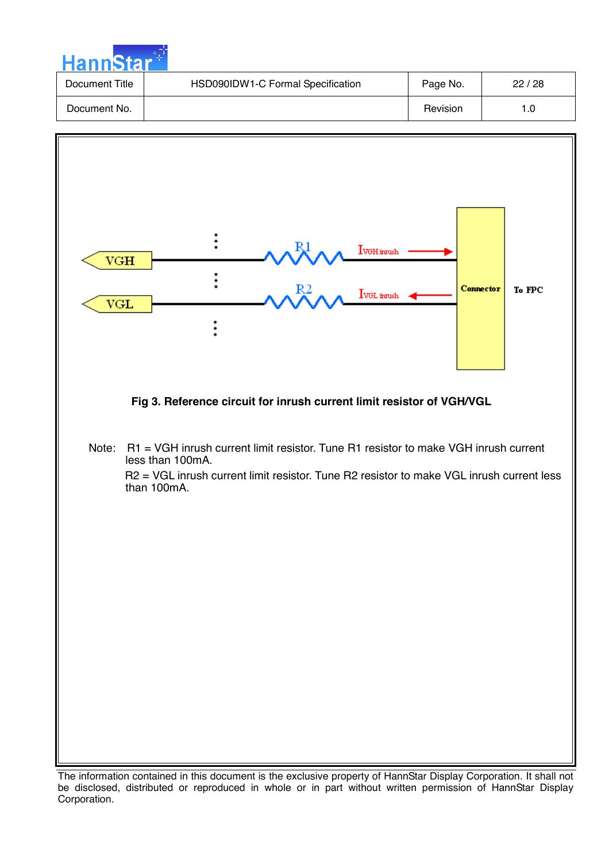| <b>HannStar</b> |                                   |          |       |
|-----------------|-----------------------------------|----------|-------|
| Document Title  | HSD090IDW1-C Formal Specification | Page No. | 22/28 |
| Document No.    |                                   | Revision | 1.0   |



The information contained in this document is the exclusive property of HannStar Display Corporation. It shall not be disclosed, distributed or reproduced in whole or in part without written permission of HannStar Display Corporation.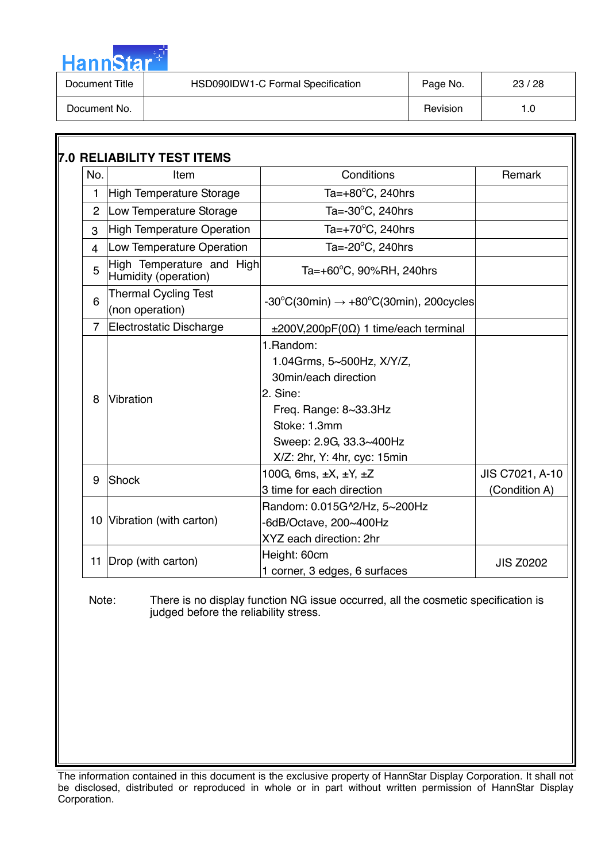| HannStar <sup>*</sup> |                                   |          |       |
|-----------------------|-----------------------------------|----------|-------|
| Document Title        | HSD090IDW1-C Formal Specification | Page No. | 23/28 |
| Document No.          |                                   | Revision | 1.0   |

المالي

| No.            | Item                                              | Conditions                                                                                                                                                                      | Remark                           |
|----------------|---------------------------------------------------|---------------------------------------------------------------------------------------------------------------------------------------------------------------------------------|----------------------------------|
| 1              | High Temperature Storage                          | Ta= $+80^{\circ}$ C, 240hrs                                                                                                                                                     |                                  |
| $\overline{2}$ | Low Temperature Storage                           | Ta=-30°C, 240hrs                                                                                                                                                                |                                  |
| 3              | <b>High Temperature Operation</b>                 | Ta=+70°C, 240hrs                                                                                                                                                                |                                  |
| 4              | Low Temperature Operation                         | Ta=-20°C, 240hrs                                                                                                                                                                |                                  |
| 5              | High Temperature and High<br>Humidity (operation) | Ta=+60°C, 90%RH, 240hrs                                                                                                                                                         |                                  |
| 6              | <b>Thermal Cycling Test</b><br>(non operation)    | $-30^{\circ}$ C(30min) $\rightarrow +80^{\circ}$ C(30min), 200cycles                                                                                                            |                                  |
| $\overline{7}$ | Electrostatic Discharge                           | $\pm 200V, 200pF(0\Omega)$ 1 time/each terminal                                                                                                                                 |                                  |
| 8              | Vibration                                         | 1. Random:<br>1.04Grms, 5~500Hz, X/Y/Z,<br>30min/each direction<br>2. Sine:<br>Freq. Range: 8~33.3Hz<br>Stoke: 1.3mm<br>Sweep: 2.9G, 33.3~400Hz<br>X/Z: 2hr, Y: 4hr, cyc: 15min |                                  |
| 9              | Shock                                             | 100G, 6ms, $\pm X$ , $\pm Y$ , $\pm Z$<br>3 time for each direction                                                                                                             | JIS C7021, A-10<br>(Condition A) |
|                | 10 Vibration (with carton)                        | Random: 0.015G^2/Hz, 5~200Hz<br>-6dB/Octave, 200~400Hz<br>XYZ each direction: 2hr                                                                                               |                                  |
| 11             | Drop (with carton)                                | Height: 60cm<br>1 corner, 3 edges, 6 surfaces                                                                                                                                   | <b>JIS Z0202</b>                 |

Note: There is no display function NG issue occurred, all the cosmetic specification is judged before the reliability stress.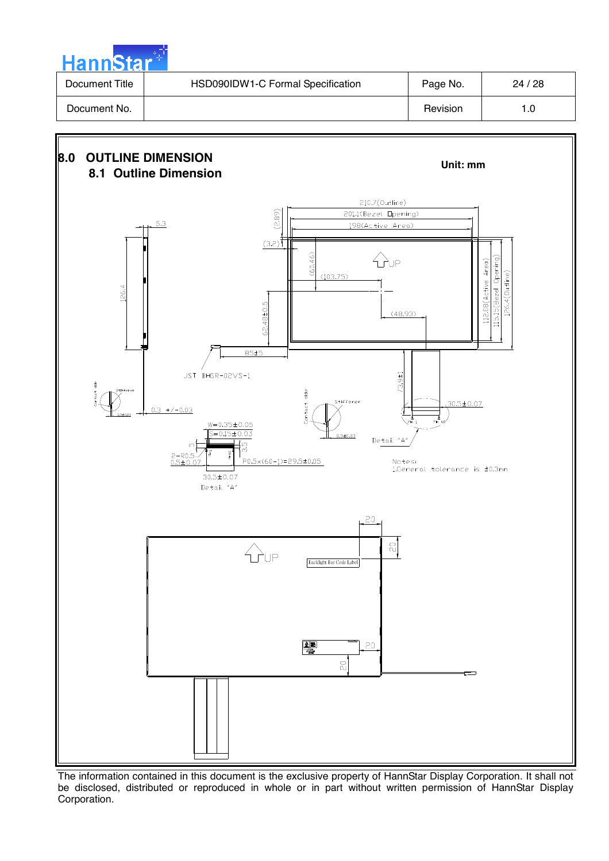| <b>Hannstar</b> |                                   |          |       |  |  |  |  |  |  |
|-----------------|-----------------------------------|----------|-------|--|--|--|--|--|--|
| Document Title  | HSD090IDW1-C Formal Specification | Page No. | 24/28 |  |  |  |  |  |  |
| Document No.    |                                   | Revision | 1.0   |  |  |  |  |  |  |

a na matsayin

 $\sim$ 



The information contained in this document is the exclusive property of HannStar Display Corporation. It shall not be disclosed, distributed or reproduced in whole or in part without written permission of HannStar Display Corporation.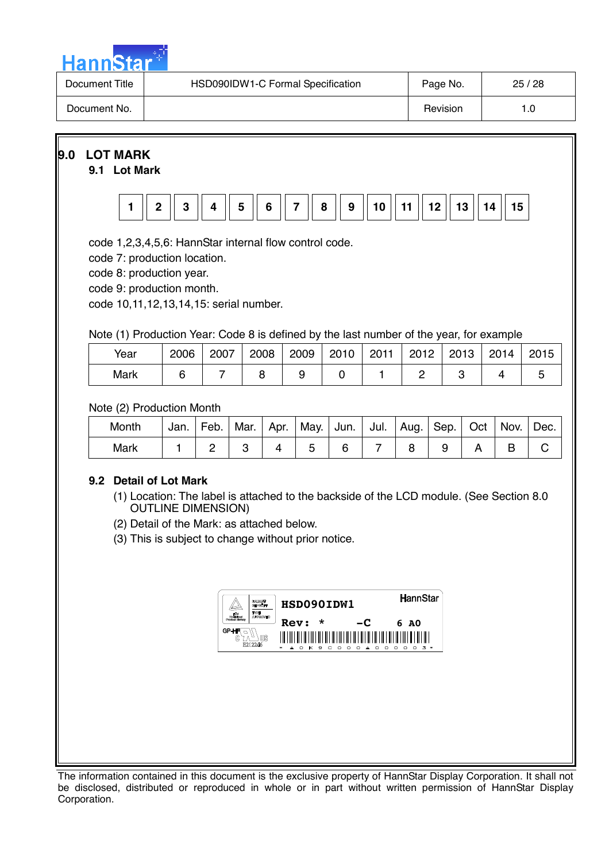

| Document Title | HSD090IDW1-C Formal Specification | Page No. | 25/28 |
|----------------|-----------------------------------|----------|-------|
| Document No.   |                                   | Revision |       |

**9.0 LOT MARK** 

#### **9.1 Lot Mark**



code 1,2,3,4,5,6: HannStar internal flow control code.

code 7: production location.

code 8: production year.

code 9: production month.

code 10,11,12,13,14,15: serial number.

Note (1) Production Year: Code 8 is defined by the last number of the year, for example

| Year | 2006 | 2007 | 2008 | 2009 | 2010 | 2011 | 2012 | 2013 | 2014 | 2015 |
|------|------|------|------|------|------|------|------|------|------|------|
| Mark |      |      |      |      |      |      |      |      |      |      |

Note (2) Production Month

| Month | Jan. | Feb. | Mar. | Apr. | May.   Jun.   Jul.   Aug.   Sep.   Oct   Nov. |  |  | Dec. |
|-------|------|------|------|------|-----------------------------------------------|--|--|------|
| Mark  |      |      |      |      |                                               |  |  |      |

# **9.2 Detail of Lot Mark**

- (1) Location: The label is attached to the backside of the LCD module. (See Section 8.0 OUTLINE DIMENSION)
- (2) Detail of the Mark: as attached below.
- (3) This is subject to change without prior notice.

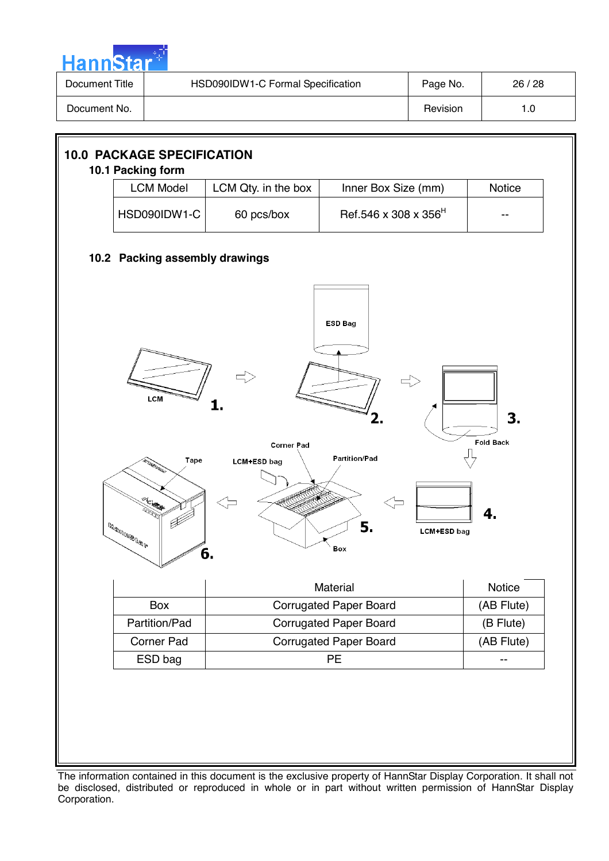

| Document Title | HSD090IDW1-C Formal Specification | Page No. | 26/28 |
|----------------|-----------------------------------|----------|-------|
| Document No.   |                                   | Revision |       |



The information contained in this document is the exclusive property of HannStar Display Corporation. It shall not be disclosed, distributed or reproduced in whole or in part without written permission of HannStar Display Corporation.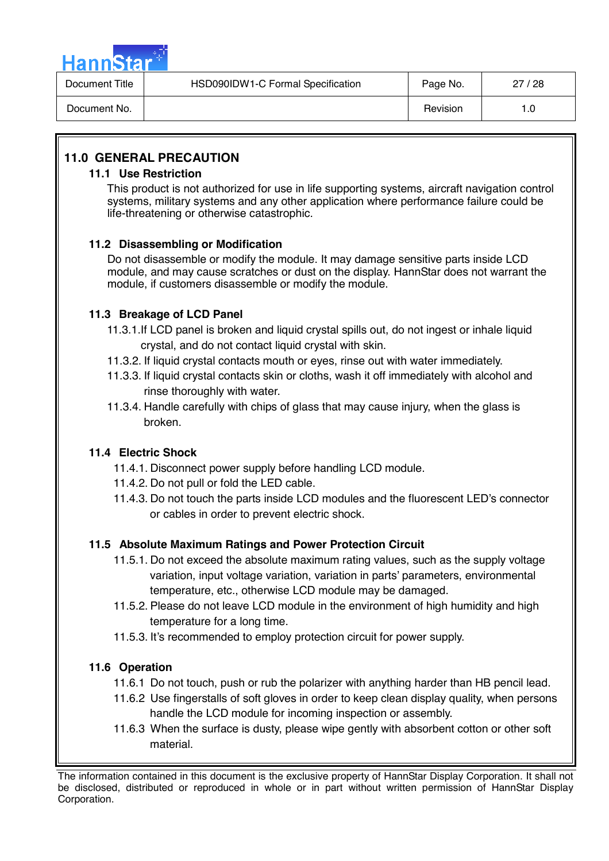

| Document Title | HSD090IDW1-C Formal Specification | Page No. | 27/28 |
|----------------|-----------------------------------|----------|-------|
| Document No.   |                                   | Revision | 1.0   |

# **11.0 GENERAL PRECAUTION**

#### **11.1 Use Restriction**

This product is not authorized for use in life supporting systems, aircraft navigation control systems, military systems and any other application where performance failure could be life-threatening or otherwise catastrophic.

#### **11.2 Disassembling or Modification**

 Do not disassemble or modify the module. It may damage sensitive parts inside LCD module, and may cause scratches or dust on the display. HannStar does not warrant the module, if customers disassemble or modify the module.

#### **11.3 Breakage of LCD Panel**

- 11.3.1.If LCD panel is broken and liquid crystal spills out, do not ingest or inhale liquid crystal, and do not contact liquid crystal with skin.
- 11.3.2. If liquid crystal contacts mouth or eyes, rinse out with water immediately.
- 11.3.3. If liquid crystal contacts skin or cloths, wash it off immediately with alcohol and rinse thoroughly with water.
- 11.3.4. Handle carefully with chips of glass that may cause injury, when the glass is broken.

#### **11.4 Electric Shock**

- 11.4.1. Disconnect power supply before handling LCD module.
- 11.4.2. Do not pull or fold the LED cable.
- 11.4.3. Do not touch the parts inside LCD modules and the fluorescent LED's connector or cables in order to prevent electric shock.

# **11.5 Absolute Maximum Ratings and Power Protection Circuit**

- 11.5.1. Do not exceed the absolute maximum rating values, such as the supply voltage variation, input voltage variation, variation in parts' parameters, environmental temperature, etc., otherwise LCD module may be damaged.
- 11.5.2. Please do not leave LCD module in the environment of high humidity and high temperature for a long time.
- 11.5.3. It's recommended to employ protection circuit for power supply.

#### **11.6 Operation**

- 11.6.1 Do not touch, push or rub the polarizer with anything harder than HB pencil lead.
- 11.6.2 Use fingerstalls of soft gloves in order to keep clean display quality, when persons handle the LCD module for incoming inspection or assembly.
- 11.6.3 When the surface is dusty, please wipe gently with absorbent cotton or other soft material.

The information contained in this document is the exclusive property of HannStar Display Corporation. It shall not be disclosed, distributed or reproduced in whole or in part without written permission of HannStar Display Corporation.